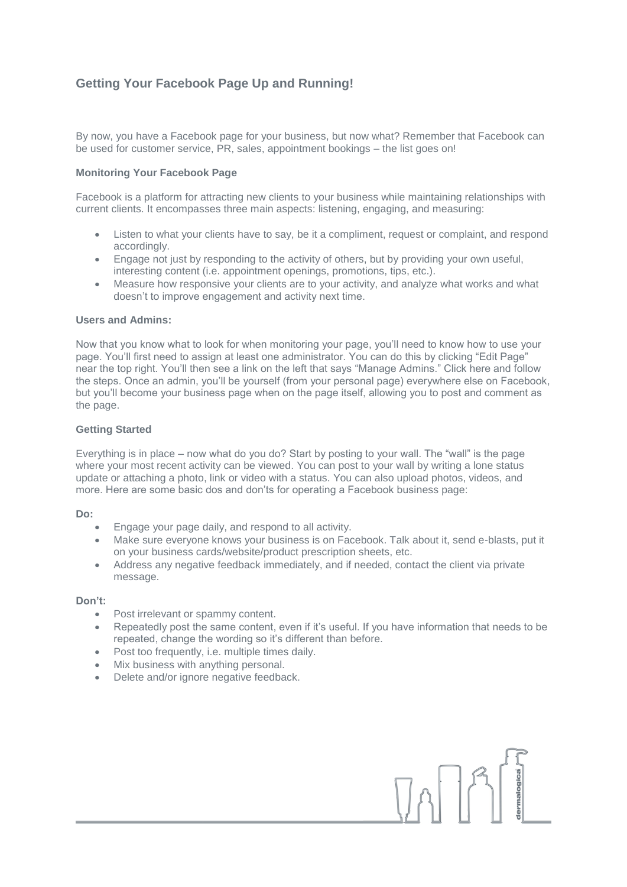# **Getting Your Facebook Page Up and Running!**

By now, you have a Facebook page for your business, but now what? Remember that Facebook can be used for customer service, PR, sales, appointment bookings – the list goes on!

### **Monitoring Your Facebook Page**

Facebook is a platform for attracting new clients to your business while maintaining relationships with current clients. It encompasses three main aspects: listening, engaging, and measuring:

- Listen to what your clients have to say, be it a compliment, request or complaint, and respond accordingly.
- Engage not just by responding to the activity of others, but by providing your own useful, interesting content (i.e. appointment openings, promotions, tips, etc.).
- Measure how responsive your clients are to your activity, and analyze what works and what doesn't to improve engagement and activity next time.

#### **Users and Admins:**

Now that you know what to look for when monitoring your page, you'll need to know how to use your page. You'll first need to assign at least one administrator. You can do this by clicking "Edit Page" near the top right. You'll then see a link on the left that says "Manage Admins." Click here and follow the steps. Once an admin, you'll be yourself (from your personal page) everywhere else on Facebook, but you'll become your business page when on the page itself, allowing you to post and comment as the page.

#### **Getting Started**

Everything is in place – now what do you do? Start by posting to your wall. The "wall" is the page where your most recent activity can be viewed. You can post to your wall by writing a lone status update or attaching a photo, link or video with a status. You can also upload photos, videos, and more. Here are some basic dos and don'ts for operating a Facebook business page:

#### **Do:**

- Engage your page daily, and respond to all activity.
- Make sure everyone knows your business is on Facebook. Talk about it, send e-blasts, put it on your business cards/website/product prescription sheets, etc.
- Address any negative feedback immediately, and if needed, contact the client via private message.

#### **Don't:**

- Post irrelevant or spammy content.
- Repeatedly post the same content, even if it's useful. If you have information that needs to be repeated, change the wording so it's different than before.

 $\begin{array}{c} \textbf{1} & \textbf{1} \\ \textbf{1} & \textbf{1} \end{array}$ 

- Post too frequently, i.e. multiple times daily.
- Mix business with anything personal.
- Delete and/or ignore negative feedback.